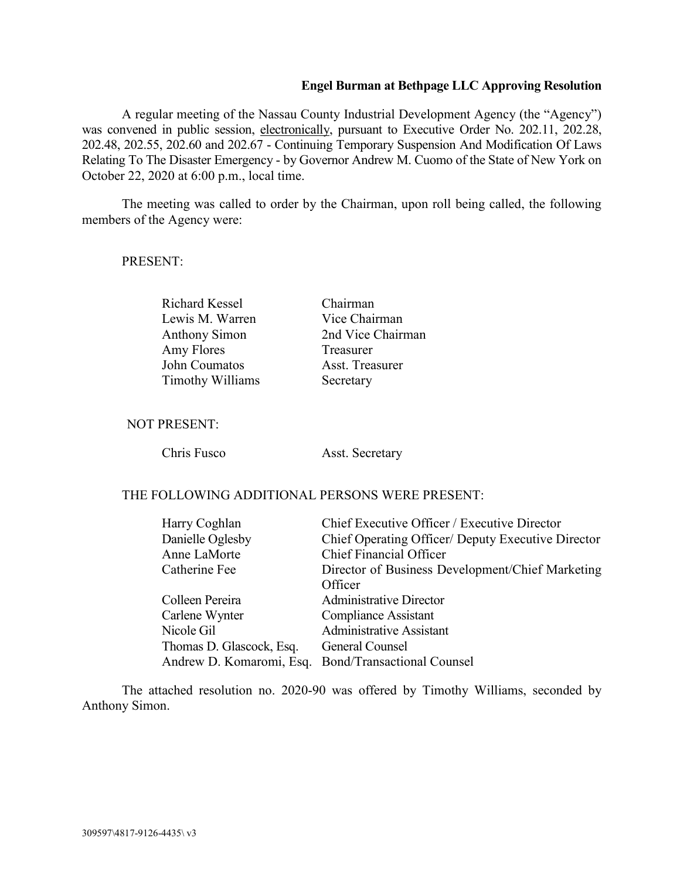## **Engel Burman at Bethpage LLC Approving Resolution**

A regular meeting of the Nassau County Industrial Development Agency (the "Agency") was convened in public session, electronically, pursuant to Executive Order No. 202.11, 202.28, 202.48, 202.55, 202.60 and 202.67 - Continuing Temporary Suspension And Modification Of Laws Relating To The Disaster Emergency - by Governor Andrew M. Cuomo of the State of New York on October 22, 2020 at 6:00 p.m., local time.

The meeting was called to order by the Chairman, upon roll being called, the following members of the Agency were:

#### PRESENT:

Richard Kessel Chairman Lewis M. Warren Vice Chairman Amy Flores Treasurer John Coumatos Asst. Treasurer Timothy Williams Secretary

Anthony Simon 2nd Vice Chairman

### NOT PRESENT:

Chris Fusco Asst. Secretary

## THE FOLLOWING ADDITIONAL PERSONS WERE PRESENT:

| Harry Coghlan            | Chief Executive Officer / Executive Director        |
|--------------------------|-----------------------------------------------------|
| Danielle Oglesby         | Chief Operating Officer/ Deputy Executive Director  |
| Anne LaMorte             | <b>Chief Financial Officer</b>                      |
| Catherine Fee            | Director of Business Development/Chief Marketing    |
|                          | Officer                                             |
| Colleen Pereira          | <b>Administrative Director</b>                      |
| Carlene Wynter           | <b>Compliance Assistant</b>                         |
| Nicole Gil               | <b>Administrative Assistant</b>                     |
| Thomas D. Glascock, Esq. | General Counsel                                     |
|                          | Andrew D. Komaromi, Esq. Bond/Transactional Counsel |

The attached resolution no. 2020-90 was offered by Timothy Williams, seconded by Anthony Simon.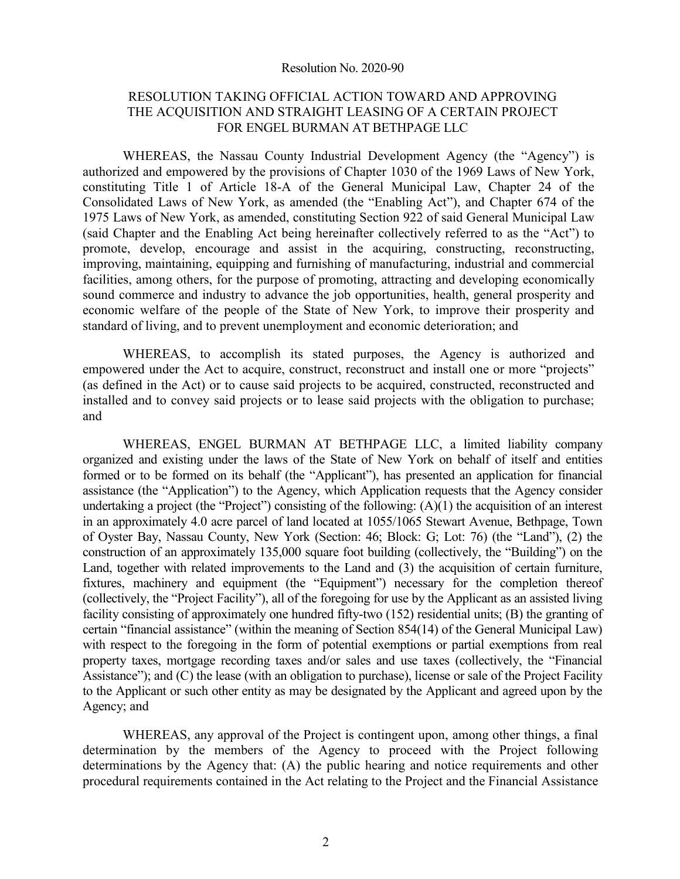#### Resolution No. 2020-90

## RESOLUTION TAKING OFFICIAL ACTION TOWARD AND APPROVING THE ACQUISITION AND STRAIGHT LEASING OF A CERTAIN PROJECT FOR ENGEL BURMAN AT BETHPAGE LLC

WHEREAS, the Nassau County Industrial Development Agency (the "Agency") is authorized and empowered by the provisions of Chapter 1030 of the 1969 Laws of New York, constituting Title 1 of Article 18-A of the General Municipal Law, Chapter 24 of the Consolidated Laws of New York, as amended (the "Enabling Act"), and Chapter 674 of the 1975 Laws of New York, as amended, constituting Section 922 of said General Municipal Law (said Chapter and the Enabling Act being hereinafter collectively referred to as the "Act") to promote, develop, encourage and assist in the acquiring, constructing, reconstructing, improving, maintaining, equipping and furnishing of manufacturing, industrial and commercial facilities, among others, for the purpose of promoting, attracting and developing economically sound commerce and industry to advance the job opportunities, health, general prosperity and economic welfare of the people of the State of New York, to improve their prosperity and standard of living, and to prevent unemployment and economic deterioration; and

WHEREAS, to accomplish its stated purposes, the Agency is authorized and empowered under the Act to acquire, construct, reconstruct and install one or more "projects" (as defined in the Act) or to cause said projects to be acquired, constructed, reconstructed and installed and to convey said projects or to lease said projects with the obligation to purchase; and

WHEREAS, ENGEL BURMAN AT BETHPAGE LLC, a limited liability company organized and existing under the laws of the State of New York on behalf of itself and entities formed or to be formed on its behalf (the "Applicant"), has presented an application for financial assistance (the "Application") to the Agency, which Application requests that the Agency consider undertaking a project (the "Project") consisting of the following: (A)(1) the acquisition of an interest in an approximately 4.0 acre parcel of land located at 1055/1065 Stewart Avenue, Bethpage, Town of Oyster Bay, Nassau County, New York (Section: 46; Block: G; Lot: 76) (the "Land"), (2) the construction of an approximately 135,000 square foot building (collectively, the "Building") on the Land, together with related improvements to the Land and (3) the acquisition of certain furniture, fixtures, machinery and equipment (the "Equipment") necessary for the completion thereof (collectively, the "Project Facility"), all of the foregoing for use by the Applicant as an assisted living facility consisting of approximately one hundred fifty-two (152) residential units; (B) the granting of certain "financial assistance" (within the meaning of Section 854(14) of the General Municipal Law) with respect to the foregoing in the form of potential exemptions or partial exemptions from real property taxes, mortgage recording taxes and/or sales and use taxes (collectively, the "Financial Assistance"); and (C) the lease (with an obligation to purchase), license or sale of the Project Facility to the Applicant or such other entity as may be designated by the Applicant and agreed upon by the Agency; and

WHEREAS, any approval of the Project is contingent upon, among other things, a final determination by the members of the Agency to proceed with the Project following determinations by the Agency that: (A) the public hearing and notice requirements and other procedural requirements contained in the Act relating to the Project and the Financial Assistance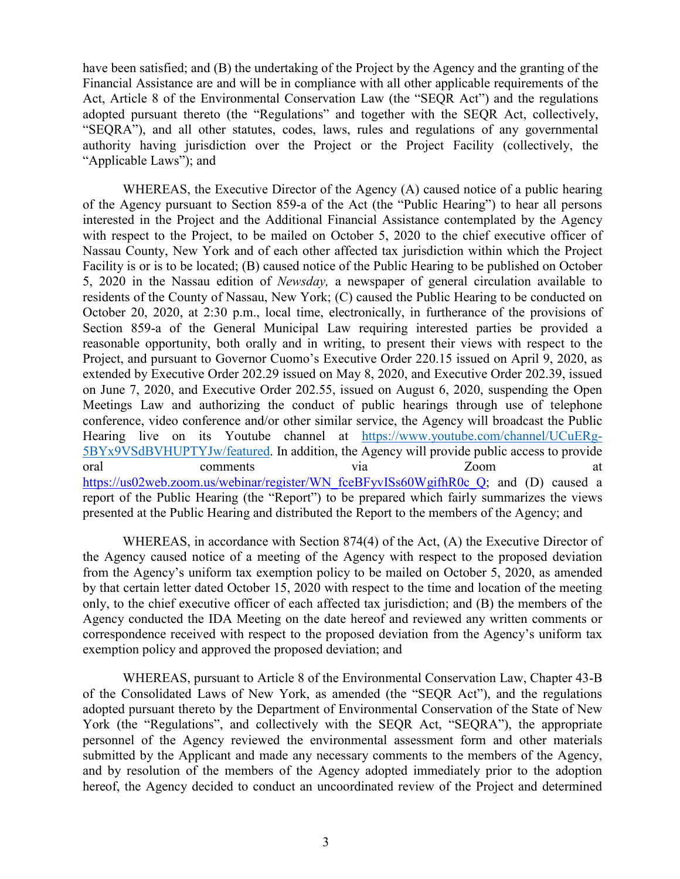have been satisfied; and (B) the undertaking of the Project by the Agency and the granting of the Financial Assistance are and will be in compliance with all other applicable requirements of the Act, Article 8 of the Environmental Conservation Law (the "SEQR Act") and the regulations adopted pursuant thereto (the "Regulations" and together with the SEQR Act, collectively, "SEQRA"), and all other statutes, codes, laws, rules and regulations of any governmental authority having jurisdiction over the Project or the Project Facility (collectively, the "Applicable Laws"); and

WHEREAS, the Executive Director of the Agency (A) caused notice of a public hearing of the Agency pursuant to Section 859-a of the Act (the "Public Hearing") to hear all persons interested in the Project and the Additional Financial Assistance contemplated by the Agency with respect to the Project, to be mailed on October 5, 2020 to the chief executive officer of Nassau County, New York and of each other affected tax jurisdiction within which the Project Facility is or is to be located; (B) caused notice of the Public Hearing to be published on October 5, 2020 in the Nassau edition of *Newsday,* a newspaper of general circulation available to residents of the County of Nassau, New York; (C) caused the Public Hearing to be conducted on October 20, 2020, at 2:30 p.m., local time, electronically, in furtherance of the provisions of Section 859-a of the General Municipal Law requiring interested parties be provided a reasonable opportunity, both orally and in writing, to present their views with respect to the Project, and pursuant to Governor Cuomo's Executive Order 220.15 issued on April 9, 2020, as extended by Executive Order 202.29 issued on May 8, 2020, and Executive Order 202.39, issued on June 7, 2020, and Executive Order 202.55, issued on August 6, 2020, suspending the Open Meetings Law and authorizing the conduct of public hearings through use of telephone conference, video conference and/or other similar service, the Agency will broadcast the Public Hearing live on its Youtube channel at https://www.youtube.com/channel/UCuERg-5BYx9VSdBVHUPTYJw/featured. In addition, the Agency will provide public access to provide oral comments via Zoom at https://us02web.zoom.us/webinar/register/WN\_fceBFyvISs60WgifhR0c\_Q; and (D) caused a report of the Public Hearing (the "Report") to be prepared which fairly summarizes the views presented at the Public Hearing and distributed the Report to the members of the Agency; and

WHEREAS, in accordance with Section 874(4) of the Act, (A) the Executive Director of the Agency caused notice of a meeting of the Agency with respect to the proposed deviation from the Agency's uniform tax exemption policy to be mailed on October 5, 2020, as amended by that certain letter dated October 15, 2020 with respect to the time and location of the meeting only, to the chief executive officer of each affected tax jurisdiction; and (B) the members of the Agency conducted the IDA Meeting on the date hereof and reviewed any written comments or correspondence received with respect to the proposed deviation from the Agency's uniform tax exemption policy and approved the proposed deviation; and

WHEREAS, pursuant to Article 8 of the Environmental Conservation Law, Chapter 43-B of the Consolidated Laws of New York, as amended (the "SEQR Act"), and the regulations adopted pursuant thereto by the Department of Environmental Conservation of the State of New York (the "Regulations", and collectively with the SEQR Act, "SEQRA"), the appropriate personnel of the Agency reviewed the environmental assessment form and other materials submitted by the Applicant and made any necessary comments to the members of the Agency, and by resolution of the members of the Agency adopted immediately prior to the adoption hereof, the Agency decided to conduct an uncoordinated review of the Project and determined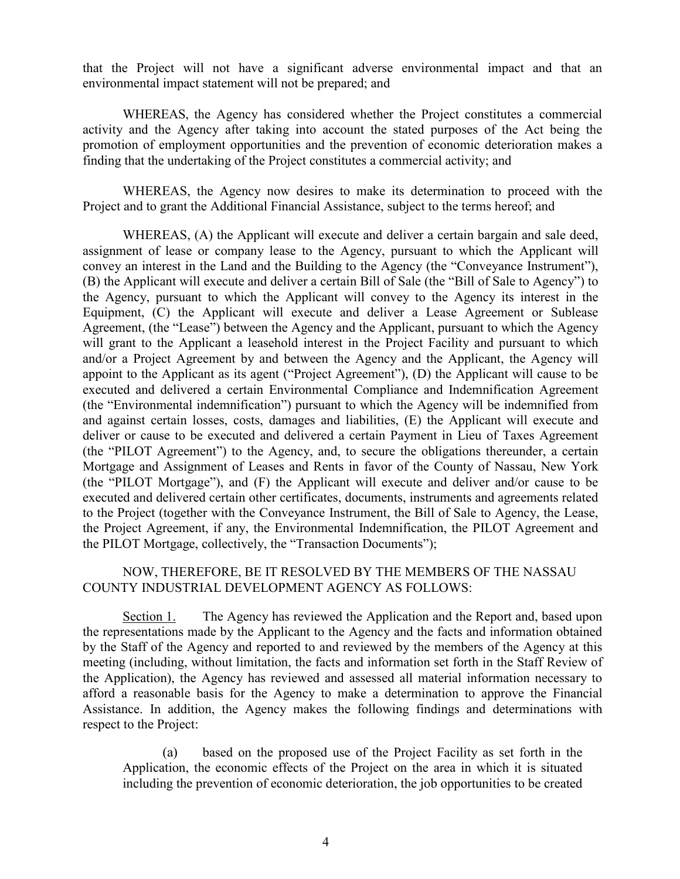that the Project will not have a significant adverse environmental impact and that an environmental impact statement will not be prepared; and

WHEREAS, the Agency has considered whether the Project constitutes a commercial activity and the Agency after taking into account the stated purposes of the Act being the promotion of employment opportunities and the prevention of economic deterioration makes a finding that the undertaking of the Project constitutes a commercial activity; and

WHEREAS, the Agency now desires to make its determination to proceed with the Project and to grant the Additional Financial Assistance, subject to the terms hereof; and

WHEREAS, (A) the Applicant will execute and deliver a certain bargain and sale deed, assignment of lease or company lease to the Agency, pursuant to which the Applicant will convey an interest in the Land and the Building to the Agency (the "Conveyance Instrument"), (B) the Applicant will execute and deliver a certain Bill of Sale (the "Bill of Sale to Agency") to the Agency, pursuant to which the Applicant will convey to the Agency its interest in the Equipment, (C) the Applicant will execute and deliver a Lease Agreement or Sublease Agreement, (the "Lease") between the Agency and the Applicant, pursuant to which the Agency will grant to the Applicant a leasehold interest in the Project Facility and pursuant to which and/or a Project Agreement by and between the Agency and the Applicant, the Agency will appoint to the Applicant as its agent ("Project Agreement"), (D) the Applicant will cause to be executed and delivered a certain Environmental Compliance and Indemnification Agreement (the "Environmental indemnification") pursuant to which the Agency will be indemnified from and against certain losses, costs, damages and liabilities, (E) the Applicant will execute and deliver or cause to be executed and delivered a certain Payment in Lieu of Taxes Agreement (the "PILOT Agreement") to the Agency, and, to secure the obligations thereunder, a certain Mortgage and Assignment of Leases and Rents in favor of the County of Nassau, New York (the "PILOT Mortgage"), and (F) the Applicant will execute and deliver and/or cause to be executed and delivered certain other certificates, documents, instruments and agreements related to the Project (together with the Conveyance Instrument, the Bill of Sale to Agency, the Lease, the Project Agreement, if any, the Environmental Indemnification, the PILOT Agreement and the PILOT Mortgage, collectively, the "Transaction Documents");

## NOW, THEREFORE, BE IT RESOLVED BY THE MEMBERS OF THE NASSAU COUNTY INDUSTRIAL DEVELOPMENT AGENCY AS FOLLOWS:

Section 1. The Agency has reviewed the Application and the Report and, based upon the representations made by the Applicant to the Agency and the facts and information obtained by the Staff of the Agency and reported to and reviewed by the members of the Agency at this meeting (including, without limitation, the facts and information set forth in the Staff Review of the Application), the Agency has reviewed and assessed all material information necessary to afford a reasonable basis for the Agency to make a determination to approve the Financial Assistance. In addition, the Agency makes the following findings and determinations with respect to the Project:

(a) based on the proposed use of the Project Facility as set forth in the Application, the economic effects of the Project on the area in which it is situated including the prevention of economic deterioration, the job opportunities to be created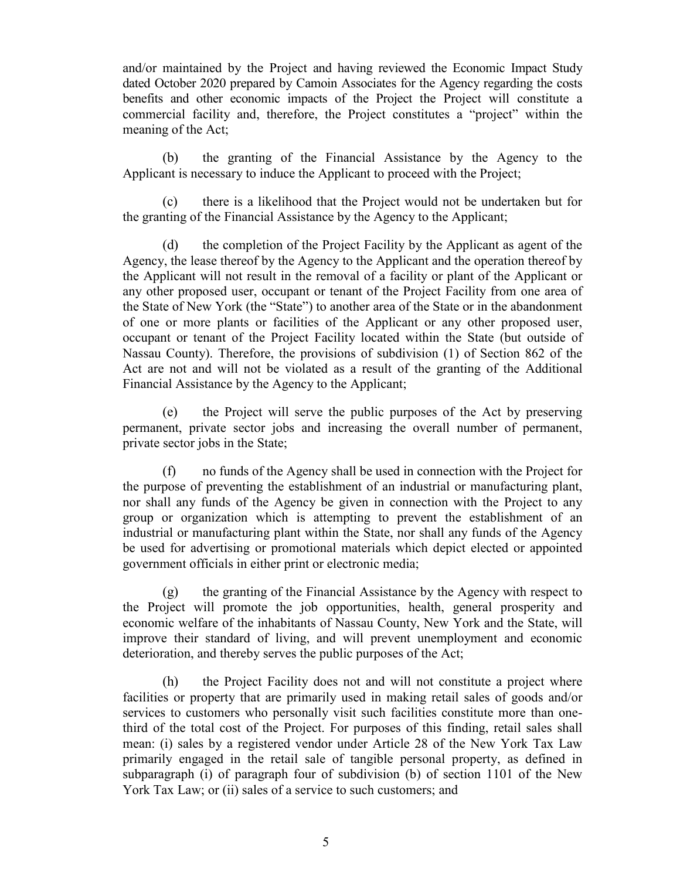and/or maintained by the Project and having reviewed the Economic Impact Study dated October 2020 prepared by Camoin Associates for the Agency regarding the costs benefits and other economic impacts of the Project the Project will constitute a commercial facility and, therefore, the Project constitutes a "project" within the meaning of the Act;

(b) the granting of the Financial Assistance by the Agency to the Applicant is necessary to induce the Applicant to proceed with the Project;

(c) there is a likelihood that the Project would not be undertaken but for the granting of the Financial Assistance by the Agency to the Applicant;

(d) the completion of the Project Facility by the Applicant as agent of the Agency, the lease thereof by the Agency to the Applicant and the operation thereof by the Applicant will not result in the removal of a facility or plant of the Applicant or any other proposed user, occupant or tenant of the Project Facility from one area of the State of New York (the "State") to another area of the State or in the abandonment of one or more plants or facilities of the Applicant or any other proposed user, occupant or tenant of the Project Facility located within the State (but outside of Nassau County). Therefore, the provisions of subdivision (1) of Section 862 of the Act are not and will not be violated as a result of the granting of the Additional Financial Assistance by the Agency to the Applicant;

(e) the Project will serve the public purposes of the Act by preserving permanent, private sector jobs and increasing the overall number of permanent, private sector jobs in the State;

(f) no funds of the Agency shall be used in connection with the Project for the purpose of preventing the establishment of an industrial or manufacturing plant, nor shall any funds of the Agency be given in connection with the Project to any group or organization which is attempting to prevent the establishment of an industrial or manufacturing plant within the State, nor shall any funds of the Agency be used for advertising or promotional materials which depict elected or appointed government officials in either print or electronic media;

(g) the granting of the Financial Assistance by the Agency with respect to the Project will promote the job opportunities, health, general prosperity and economic welfare of the inhabitants of Nassau County, New York and the State, will improve their standard of living, and will prevent unemployment and economic deterioration, and thereby serves the public purposes of the Act;

(h) the Project Facility does not and will not constitute a project where facilities or property that are primarily used in making retail sales of goods and/or services to customers who personally visit such facilities constitute more than onethird of the total cost of the Project. For purposes of this finding, retail sales shall mean: (i) sales by a registered vendor under Article 28 of the New York Tax Law primarily engaged in the retail sale of tangible personal property, as defined in subparagraph (i) of paragraph four of subdivision (b) of section 1101 of the New York Tax Law; or (ii) sales of a service to such customers; and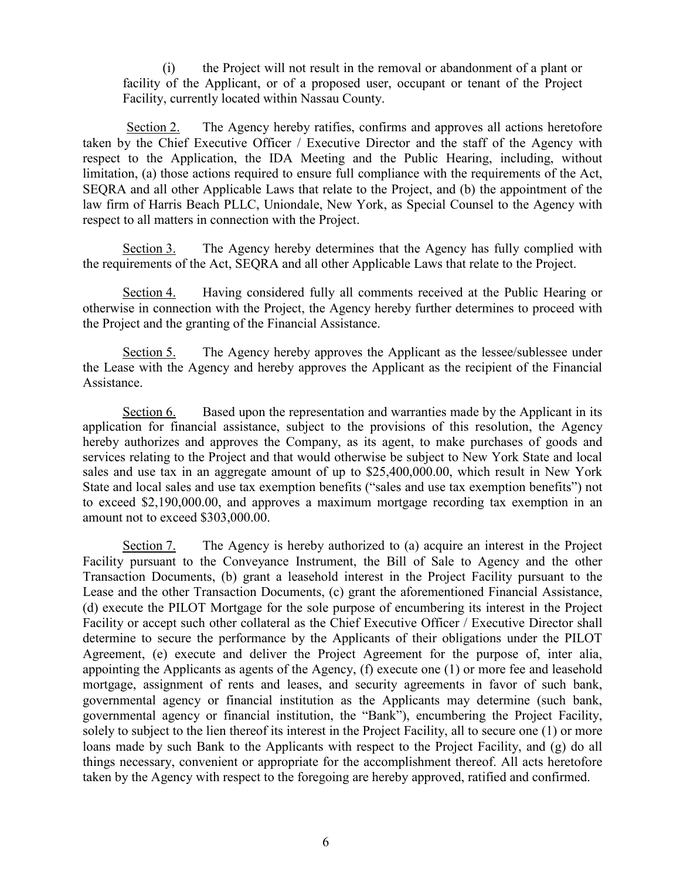(i) the Project will not result in the removal or abandonment of a plant or facility of the Applicant, or of a proposed user, occupant or tenant of the Project Facility, currently located within Nassau County.

Section 2. The Agency hereby ratifies, confirms and approves all actions heretofore taken by the Chief Executive Officer / Executive Director and the staff of the Agency with respect to the Application, the IDA Meeting and the Public Hearing, including, without limitation, (a) those actions required to ensure full compliance with the requirements of the Act, SEQRA and all other Applicable Laws that relate to the Project, and (b) the appointment of the law firm of Harris Beach PLLC, Uniondale, New York, as Special Counsel to the Agency with respect to all matters in connection with the Project.

Section 3. The Agency hereby determines that the Agency has fully complied with the requirements of the Act, SEQRA and all other Applicable Laws that relate to the Project.

Section 4. Having considered fully all comments received at the Public Hearing or otherwise in connection with the Project, the Agency hereby further determines to proceed with the Project and the granting of the Financial Assistance.

Section 5. The Agency hereby approves the Applicant as the lessee/sublessee under the Lease with the Agency and hereby approves the Applicant as the recipient of the Financial Assistance.

Section 6. Based upon the representation and warranties made by the Applicant in its application for financial assistance, subject to the provisions of this resolution, the Agency hereby authorizes and approves the Company, as its agent, to make purchases of goods and services relating to the Project and that would otherwise be subject to New York State and local sales and use tax in an aggregate amount of up to \$25,400,000.00, which result in New York State and local sales and use tax exemption benefits ("sales and use tax exemption benefits") not to exceed \$2,190,000.00, and approves a maximum mortgage recording tax exemption in an amount not to exceed \$303,000.00.

Section 7. The Agency is hereby authorized to (a) acquire an interest in the Project Facility pursuant to the Conveyance Instrument, the Bill of Sale to Agency and the other Transaction Documents, (b) grant a leasehold interest in the Project Facility pursuant to the Lease and the other Transaction Documents, (c) grant the aforementioned Financial Assistance, (d) execute the PILOT Mortgage for the sole purpose of encumbering its interest in the Project Facility or accept such other collateral as the Chief Executive Officer / Executive Director shall determine to secure the performance by the Applicants of their obligations under the PILOT Agreement, (e) execute and deliver the Project Agreement for the purpose of, inter alia, appointing the Applicants as agents of the Agency, (f) execute one (1) or more fee and leasehold mortgage, assignment of rents and leases, and security agreements in favor of such bank, governmental agency or financial institution as the Applicants may determine (such bank, governmental agency or financial institution, the "Bank"), encumbering the Project Facility, solely to subject to the lien thereof its interest in the Project Facility, all to secure one (1) or more loans made by such Bank to the Applicants with respect to the Project Facility, and (g) do all things necessary, convenient or appropriate for the accomplishment thereof. All acts heretofore taken by the Agency with respect to the foregoing are hereby approved, ratified and confirmed.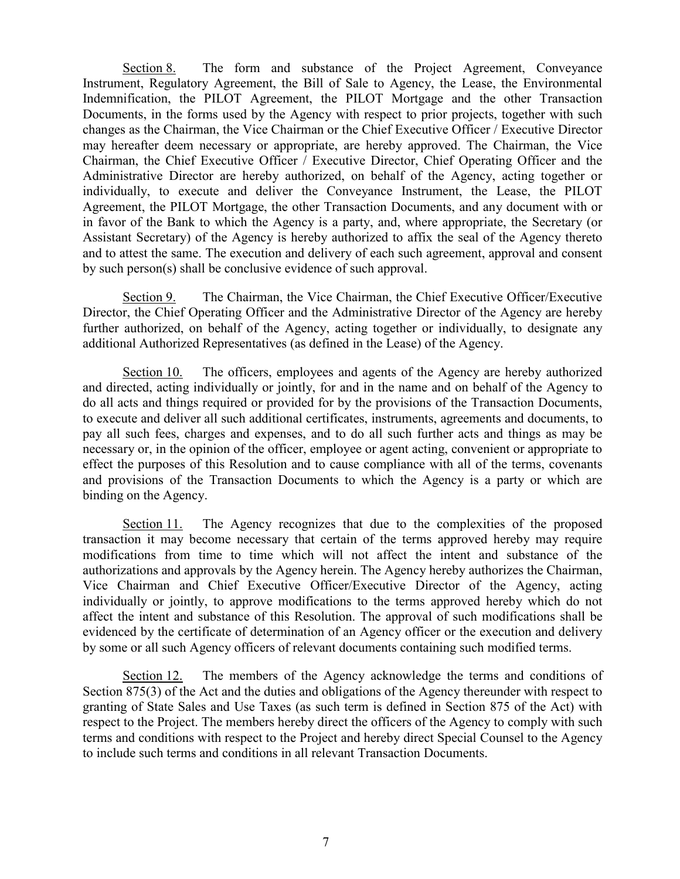Section 8. The form and substance of the Project Agreement, Conveyance Instrument, Regulatory Agreement, the Bill of Sale to Agency, the Lease, the Environmental Indemnification, the PILOT Agreement, the PILOT Mortgage and the other Transaction Documents, in the forms used by the Agency with respect to prior projects, together with such changes as the Chairman, the Vice Chairman or the Chief Executive Officer / Executive Director may hereafter deem necessary or appropriate, are hereby approved. The Chairman, the Vice Chairman, the Chief Executive Officer / Executive Director, Chief Operating Officer and the Administrative Director are hereby authorized, on behalf of the Agency, acting together or individually, to execute and deliver the Conveyance Instrument, the Lease, the PILOT Agreement, the PILOT Mortgage, the other Transaction Documents, and any document with or in favor of the Bank to which the Agency is a party, and, where appropriate, the Secretary (or Assistant Secretary) of the Agency is hereby authorized to affix the seal of the Agency thereto and to attest the same. The execution and delivery of each such agreement, approval and consent by such person(s) shall be conclusive evidence of such approval.

Section 9. The Chairman, the Vice Chairman, the Chief Executive Officer/Executive Director, the Chief Operating Officer and the Administrative Director of the Agency are hereby further authorized, on behalf of the Agency, acting together or individually, to designate any additional Authorized Representatives (as defined in the Lease) of the Agency.

Section 10. The officers, employees and agents of the Agency are hereby authorized and directed, acting individually or jointly, for and in the name and on behalf of the Agency to do all acts and things required or provided for by the provisions of the Transaction Documents, to execute and deliver all such additional certificates, instruments, agreements and documents, to pay all such fees, charges and expenses, and to do all such further acts and things as may be necessary or, in the opinion of the officer, employee or agent acting, convenient or appropriate to effect the purposes of this Resolution and to cause compliance with all of the terms, covenants and provisions of the Transaction Documents to which the Agency is a party or which are binding on the Agency.

Section 11. The Agency recognizes that due to the complexities of the proposed transaction it may become necessary that certain of the terms approved hereby may require modifications from time to time which will not affect the intent and substance of the authorizations and approvals by the Agency herein. The Agency hereby authorizes the Chairman, Vice Chairman and Chief Executive Officer/Executive Director of the Agency, acting individually or jointly, to approve modifications to the terms approved hereby which do not affect the intent and substance of this Resolution. The approval of such modifications shall be evidenced by the certificate of determination of an Agency officer or the execution and delivery by some or all such Agency officers of relevant documents containing such modified terms.

Section 12. The members of the Agency acknowledge the terms and conditions of Section 875(3) of the Act and the duties and obligations of the Agency thereunder with respect to granting of State Sales and Use Taxes (as such term is defined in Section 875 of the Act) with respect to the Project. The members hereby direct the officers of the Agency to comply with such terms and conditions with respect to the Project and hereby direct Special Counsel to the Agency to include such terms and conditions in all relevant Transaction Documents.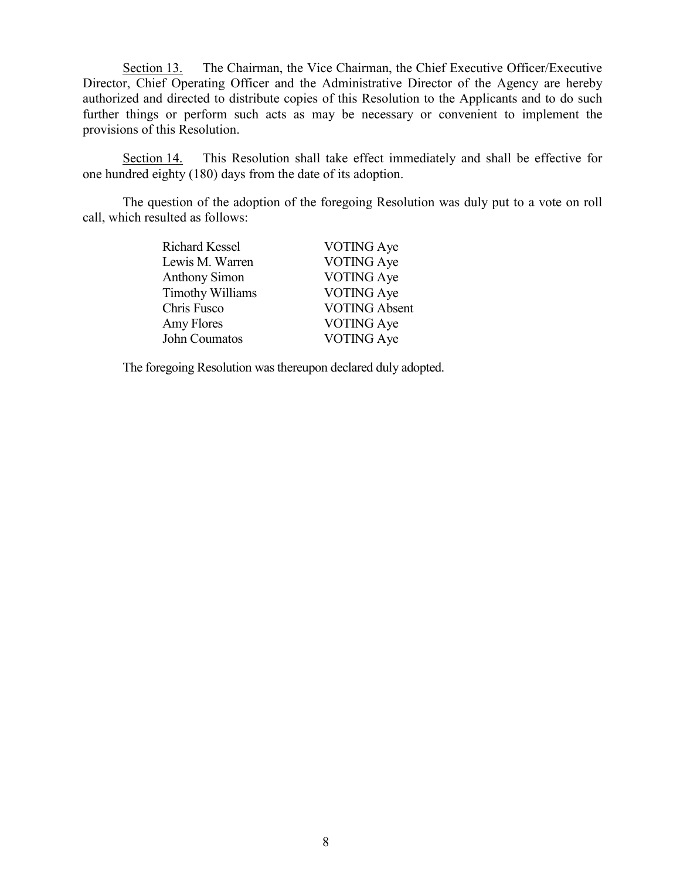Section 13. The Chairman, the Vice Chairman, the Chief Executive Officer/Executive Director, Chief Operating Officer and the Administrative Director of the Agency are hereby authorized and directed to distribute copies of this Resolution to the Applicants and to do such further things or perform such acts as may be necessary or convenient to implement the provisions of this Resolution.

Section 14. This Resolution shall take effect immediately and shall be effective for one hundred eighty (180) days from the date of its adoption.

The question of the adoption of the foregoing Resolution was duly put to a vote on roll call, which resulted as follows:

| <b>Richard Kessel</b> | VOTING Aye           |
|-----------------------|----------------------|
| Lewis M. Warren       | <b>VOTING</b> Aye    |
| <b>Anthony Simon</b>  | VOTING Aye           |
| Timothy Williams      | <b>VOTING</b> Aye    |
| Chris Fusco           | <b>VOTING Absent</b> |
| Amy Flores            | <b>VOTING</b> Aye    |
| John Coumatos         | <b>VOTING</b> Aye    |

The foregoing Resolution was thereupon declared duly adopted.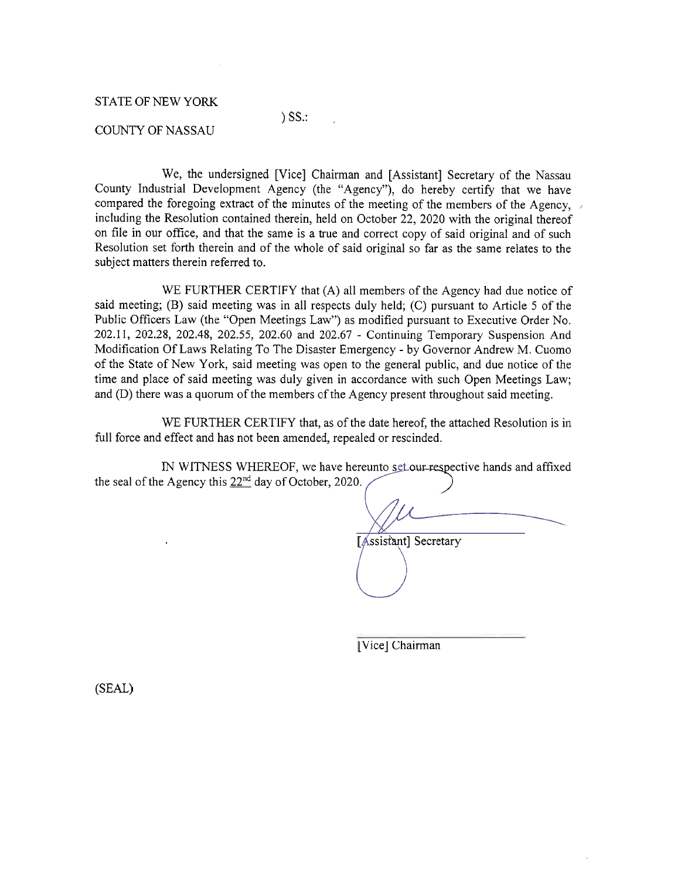#### **STATE OF NEW YORK**

# $)$  SS $\therefore$

#### **COUNTY OF NASSAU**

We, the undersigned [Vice] Chairman and [Assistant] Secretary of the Nassau County Industrial Development Agency (the "Agency"), do hereby certify that we have compared the foregoing extract of the minutes of the meeting of the members of the Agency, including the Resolution contained therein, held on October 22, 2020 with the original thereof on file in our office, and that the same is a true and correct copy of said original and of such Resolution set forth therein and of the whole of said original so far as the same relates to the subject matters therein referred to.

WE FURTHER CERTIFY that (A) all members of the Agency had due notice of said meeting; (B) said meeting was in all respects duly held; (C) pursuant to Article 5 of the Public Officers Law (the "Open Meetings Law") as modified pursuant to Executive Order No. 202.11, 202.28, 202.48, 202.55, 202.60 and 202.67 - Continuing Temporary Suspension And Modification Of Laws Relating To The Disaster Emergency - by Governor Andrew M. Cuomo of the State of New York, said meeting was open to the general public, and due notice of the time and place of said meeting was duly given in accordance with such Open Meetings Law; and (D) there was a quorum of the members of the Agency present throughout said meeting.

WE FURTHER CERTIFY that, as of the date hereof, the attached Resolution is in full force and effect and has not been amended, repealed or rescinded.

IN WITNESS WHEREOF, we have hereunto set our respective hands and affixed the seal of the Agency this  $22^{nd}$  day of October, 2020.

[Assistant] Secretary

[Vice] Chairman

(SEAL)